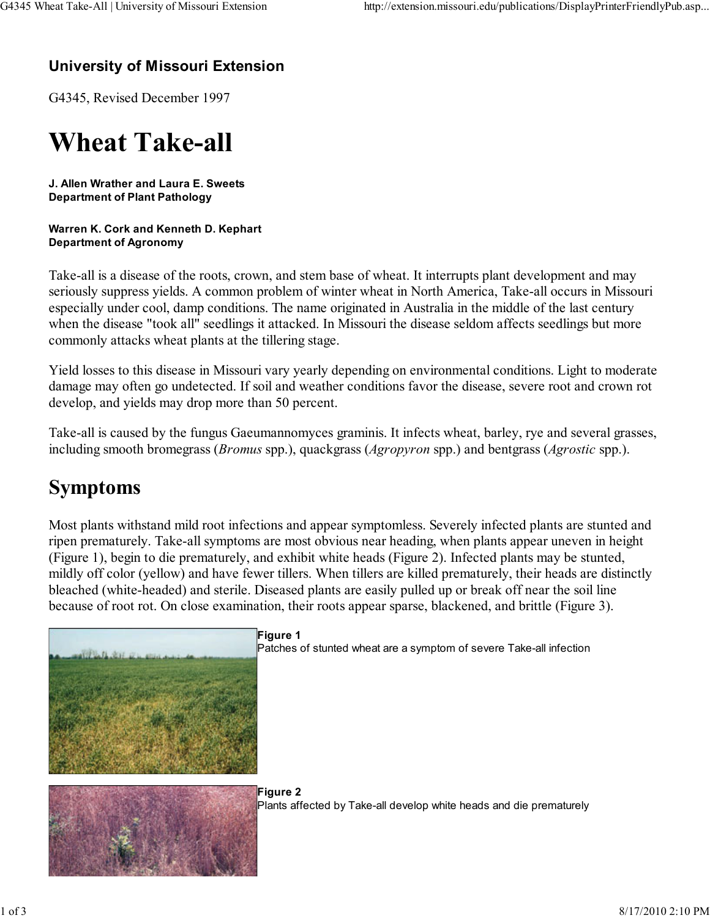#### University of Missouri Extension

G4345, Revised December 1997

## Wheat Take-all

J. Allen Wrather and Laura E. Sweets Department of Plant Pathology

#### Warren K. Cork and Kenneth D. Kephart Department of Agronomy

Take-all is a disease of the roots, crown, and stem base of wheat. It interrupts plant development and may seriously suppress yields. A common problem of winter wheat in North America, Take-all occurs in Missouri especially under cool, damp conditions. The name originated in Australia in the middle of the last century when the disease "took all" seedlings it attacked. In Missouri the disease seldom affects seedlings but more commonly attacks wheat plants at the tillering stage.

Yield losses to this disease in Missouri vary yearly depending on environmental conditions. Light to moderate damage may often go undetected. If soil and weather conditions favor the disease, severe root and crown rot develop, and yields may drop more than 50 percent.

Take-all is caused by the fungus Gaeumannomyces graminis. It infects wheat, barley, rye and several grasses, including smooth bromegrass (Bromus spp.), quackgrass (Agropyron spp.) and bentgrass (Agrostic spp.).

## Symptoms

Most plants withstand mild root infections and appear symptomless. Severely infected plants are stunted and ripen prematurely. Take-all symptoms are most obvious near heading, when plants appear uneven in height (Figure 1), begin to die prematurely, and exhibit white heads (Figure 2). Infected plants may be stunted, mildly off color (yellow) and have fewer tillers. When tillers are killed prematurely, their heads are distinctly bleached (white-headed) and sterile. Diseased plants are easily pulled up or break off near the soil line because of root rot. On close examination, their roots appear sparse, blackened, and brittle (Figure 3).



#### Figure 1

Patches of stunted wheat are a symptom of severe Take-all infection



Figure 2 Plants affected by Take-all develop white heads and die prematurely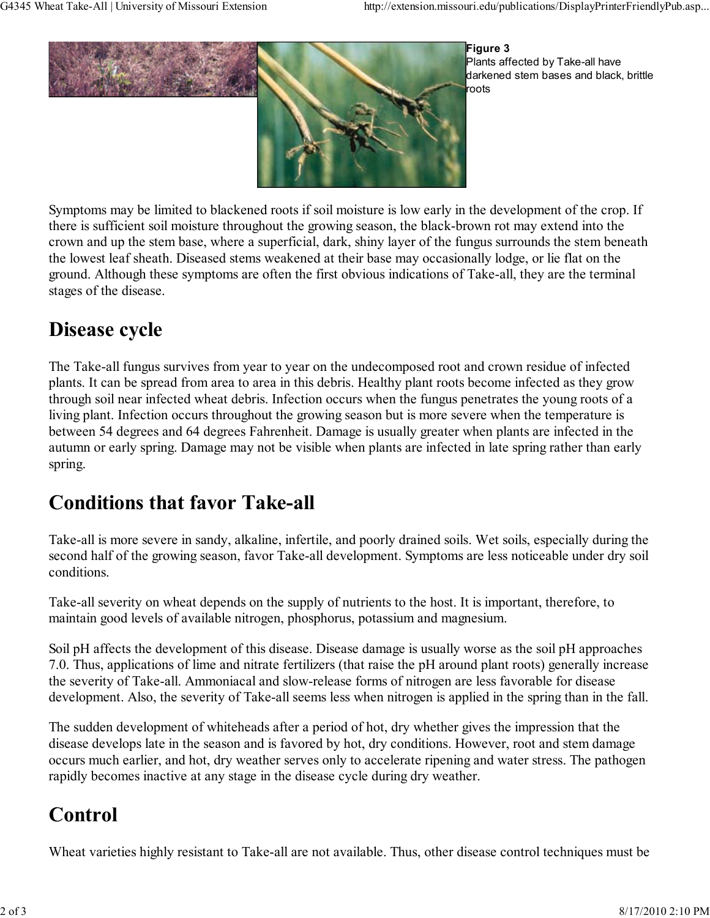

Figure 3 Plants affected by Take-all have darkened stem bases and black, brittle roots

Symptoms may be limited to blackened roots if soil moisture is low early in the development of the crop. If there is sufficient soil moisture throughout the growing season, the black-brown rot may extend into the crown and up the stem base, where a superficial, dark, shiny layer of the fungus surrounds the stem beneath the lowest leaf sheath. Diseased stems weakened at their base may occasionally lodge, or lie flat on the ground. Although these symptoms are often the first obvious indications of Take-all, they are the terminal stages of the disease.

## Disease cycle

The Take-all fungus survives from year to year on the undecomposed root and crown residue of infected plants. It can be spread from area to area in this debris. Healthy plant roots become infected as they grow through soil near infected wheat debris. Infection occurs when the fungus penetrates the young roots of a living plant. Infection occurs throughout the growing season but is more severe when the temperature is between 54 degrees and 64 degrees Fahrenheit. Damage is usually greater when plants are infected in the autumn or early spring. Damage may not be visible when plants are infected in late spring rather than early spring.

## Conditions that favor Take-all

Take-all is more severe in sandy, alkaline, infertile, and poorly drained soils. Wet soils, especially during the second half of the growing season, favor Take-all development. Symptoms are less noticeable under dry soil conditions.

Take-all severity on wheat depends on the supply of nutrients to the host. It is important, therefore, to maintain good levels of available nitrogen, phosphorus, potassium and magnesium.

Soil pH affects the development of this disease. Disease damage is usually worse as the soil pH approaches 7.0. Thus, applications of lime and nitrate fertilizers (that raise the pH around plant roots) generally increase the severity of Take-all. Ammoniacal and slow-release forms of nitrogen are less favorable for disease development. Also, the severity of Take-all seems less when nitrogen is applied in the spring than in the fall.

The sudden development of whiteheads after a period of hot, dry whether gives the impression that the disease develops late in the season and is favored by hot, dry conditions. However, root and stem damage occurs much earlier, and hot, dry weather serves only to accelerate ripening and water stress. The pathogen rapidly becomes inactive at any stage in the disease cycle during dry weather.

## Control

Wheat varieties highly resistant to Take-all are not available. Thus, other disease control techniques must be